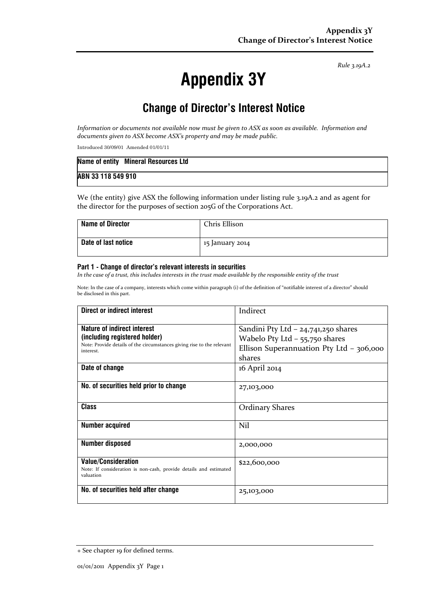Rule 3.19A.2

# Appendix 3Y

# Change of Director's Interest Notice

Information or documents not available now must be given to ASX as soon as available. Information and documents given to ASX become ASX's property and may be made public.

Introduced 30/09/01 Amended 01/01/11

|                    | Name of entity Mineral Resources Ltd |
|--------------------|--------------------------------------|
| ABN 33 118 549 910 |                                      |

We (the entity) give ASX the following information under listing rule 3.19A.2 and as agent for the director for the purposes of section 205G of the Corporations Act.

| <b>Name of Director</b> | Chris Ellison   |
|-------------------------|-----------------|
| Date of last notice     | 15 January 2014 |

#### Part 1 - Change of director's relevant interests in securities

In the case of a trust, this includes interests in the trust made available by the responsible entity of the trust

Note: In the case of a company, interests which come within paragraph (i) of the definition of "notifiable interest of a director" should be disclosed in this part.

| <b>Direct or indirect interest</b>                                                                                                                         | Indirect                                                                                                                        |  |
|------------------------------------------------------------------------------------------------------------------------------------------------------------|---------------------------------------------------------------------------------------------------------------------------------|--|
| <b>Nature of indirect interest</b><br>(including registered holder)<br>Note: Provide details of the circumstances giving rise to the relevant<br>interest. | Sandini Pty Ltd $-$ 24,741,250 shares<br>Wabelo Pty Ltd $-$ 55,750 shares<br>Ellison Superannuation Pty Ltd - 306,000<br>shares |  |
| Date of change                                                                                                                                             | 16 April 2014                                                                                                                   |  |
| No. of securities held prior to change                                                                                                                     | 27,103,000                                                                                                                      |  |
| <b>Class</b>                                                                                                                                               | <b>Ordinary Shares</b>                                                                                                          |  |
| <b>Number acquired</b>                                                                                                                                     | Nil                                                                                                                             |  |
| <b>Number disposed</b>                                                                                                                                     | 2,000,000                                                                                                                       |  |
| <b>Value/Consideration</b><br>Note: If consideration is non-cash, provide details and estimated<br>valuation                                               | \$22,600,000                                                                                                                    |  |
| No. of securities held after change                                                                                                                        | 25,103,000                                                                                                                      |  |

<sup>+</sup> See chapter 19 for defined terms.